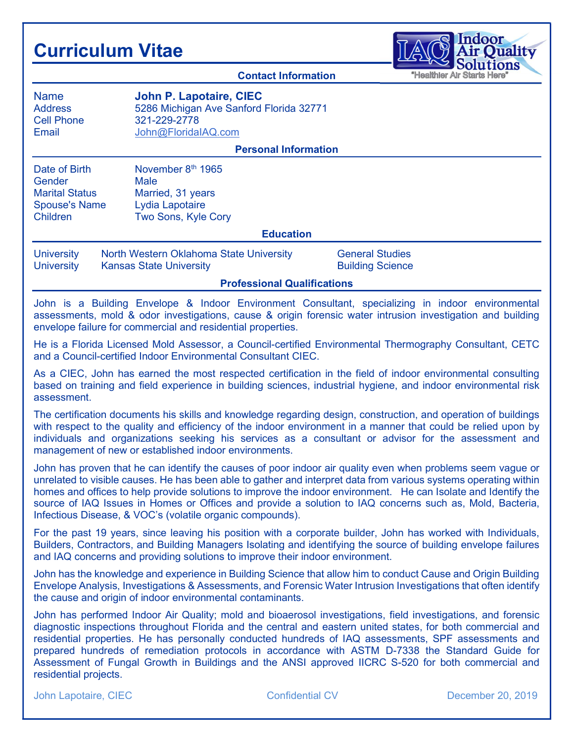## Curriculum Vitae



Contact Information Name **John P. Lapotaire, CIEC**<br>Address 5286 Michigan Ave Sanford Address 5286 Michigan Ave Sanford Florida 32771<br>Cell Phone 321-229-2778 Cell Phone 321-229-2778 Email John@FloridaIAQ.com Personal Information Date of Birth November 8<sup>th</sup> 1965 Gender Male Marital Status Married, 31 years Spouse's Name Lydia Lapotaire Children Two Sons, Kyle Cory Education University North Western Oklahoma State University General Studies University Kansas State University **Building Science** Professional Qualifications

John is a Building Envelope & Indoor Environment Consultant, specializing in indoor environmental assessments, mold & odor investigations, cause & origin forensic water intrusion investigation and building envelope failure for commercial and residential properties.

He is a Florida Licensed Mold Assessor, a Council-certified Environmental Thermography Consultant, CETC and a Council-certified Indoor Environmental Consultant CIEC.

As a CIEC, John has earned the most respected certification in the field of indoor environmental consulting based on training and field experience in building sciences, industrial hygiene, and indoor environmental risk assessment.

The certification documents his skills and knowledge regarding design, construction, and operation of buildings with respect to the quality and efficiency of the indoor environment in a manner that could be relied upon by individuals and organizations seeking his services as a consultant or advisor for the assessment and management of new or established indoor environments.

John has proven that he can identify the causes of poor indoor air quality even when problems seem vague or unrelated to visible causes. He has been able to gather and interpret data from various systems operating within homes and offices to help provide solutions to improve the indoor environment. He can Isolate and Identify the source of IAQ Issues in Homes or Offices and provide a solution to IAQ concerns such as, Mold, Bacteria, Infectious Disease, & VOC's (volatile organic compounds).

For the past 19 years, since leaving his position with a corporate builder, John has worked with Individuals, Builders, Contractors, and Building Managers Isolating and identifying the source of building envelope failures and IAQ concerns and providing solutions to improve their indoor environment.

John has the knowledge and experience in Building Science that allow him to conduct Cause and Origin Building Envelope Analysis, Investigations & Assessments, and Forensic Water Intrusion Investigations that often identify the cause and origin of indoor environmental contaminants.

John has performed Indoor Air Quality; mold and bioaerosol investigations, field investigations, and forensic diagnostic inspections throughout Florida and the central and eastern united states, for both commercial and residential properties. He has personally conducted hundreds of IAQ assessments, SPF assessments and prepared hundreds of remediation protocols in accordance with ASTM D-7338 the Standard Guide for Assessment of Fungal Growth in Buildings and the ANSI approved IICRC S-520 for both commercial and residential projects.

John Lapotaire, CIEC Confidential CV Confidential CV December 20, 2019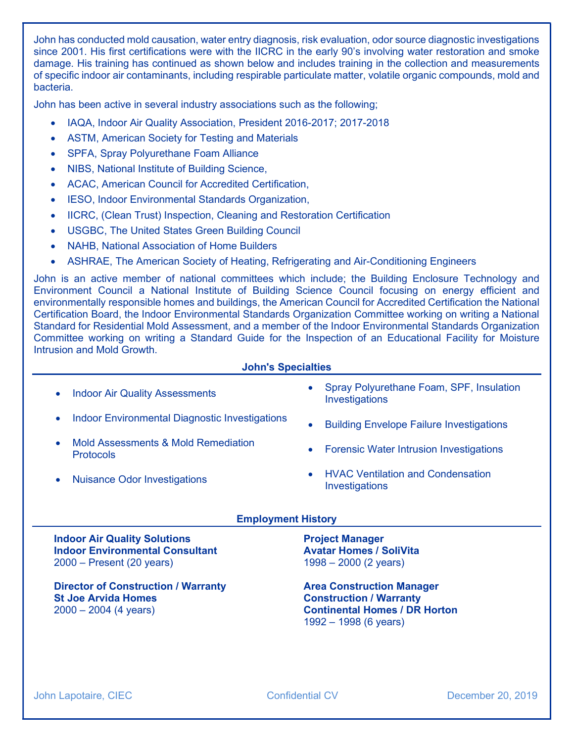John has conducted mold causation, water entry diagnosis, risk evaluation, odor source diagnostic investigations since 2001. His first certifications were with the IICRC in the early 90's involving water restoration and smoke damage. His training has continued as shown below and includes training in the collection and measurements of specific indoor air contaminants, including respirable particulate matter, volatile organic compounds, mold and bacteria.

John has been active in several industry associations such as the following;

- IAQA, Indoor Air Quality Association, President 2016-2017; 2017-2018
- ASTM, American Society for Testing and Materials
- SPFA, Spray Polyurethane Foam Alliance
- NIBS, National Institute of Building Science,
- ACAC, American Council for Accredited Certification,
- **IESO, Indoor Environmental Standards Organization,**
- IICRC, (Clean Trust) Inspection, Cleaning and Restoration Certification
- USGBC, The United States Green Building Council
- NAHB, National Association of Home Builders
- ASHRAE, The American Society of Heating, Refrigerating and Air-Conditioning Engineers

John is an active member of national committees which include; the Building Enclosure Technology and Environment Council a National Institute of Building Science Council focusing on energy efficient and environmentally responsible homes and buildings, the American Council for Accredited Certification the National Certification Board, the Indoor Environmental Standards Organization Committee working on writing a National Standard for Residential Mold Assessment, and a member of the Indoor Environmental Standards Organization Committee working on writing a Standard Guide for the Inspection of an Educational Facility for Moisture Intrusion and Mold Growth.

## John's Specialties

- Indoor Air Quality Assessments
- Indoor Environmental Diagnostic Investigations
- Mold Assessments & Mold Remediation Protocols
- Nuisance Odor Investigations
- Spray Polyurethane Foam, SPF, Insulation Investigations
- **•** Building Envelope Failure Investigations
- Forensic Water Intrusion Investigations
- HVAC Ventilation and Condensation Investigations

## Employment History

Indoor Air Quality Solutions Indoor Environmental Consultant 2000 – Present (20 years)

Director of Construction / Warranty St Joe Arvida Homes 2000 – 2004 (4 years)

Project Manager Avatar Homes / SoliVita 1998 – 2000 (2 years)

Area Construction Manager Construction / Warranty Continental Homes / DR Horton 1992 – 1998 (6 years)

John Lapotaire, CIEC **Confidential CV** December 20, 2019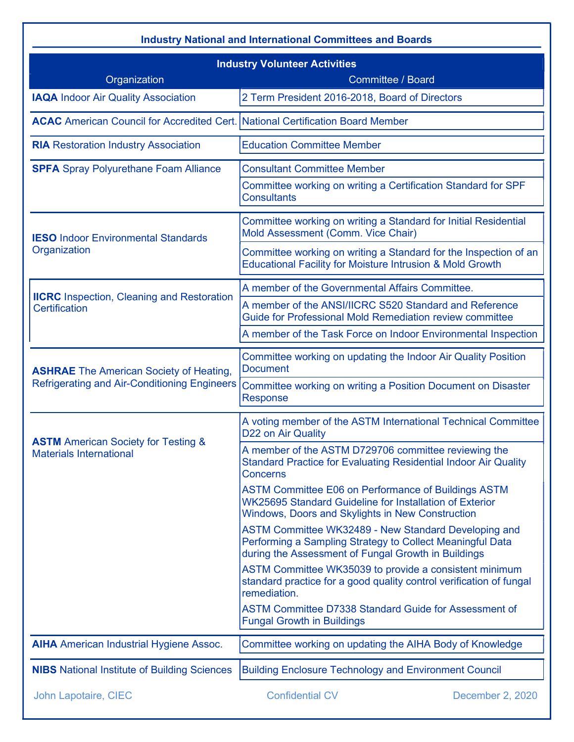| <b>Industry National and International Committees and Boards</b>                      |                                                                                                                                                                           |  |  |  |
|---------------------------------------------------------------------------------------|---------------------------------------------------------------------------------------------------------------------------------------------------------------------------|--|--|--|
| <b>Industry Volunteer Activities</b>                                                  |                                                                                                                                                                           |  |  |  |
| Organization                                                                          | <b>Committee / Board</b>                                                                                                                                                  |  |  |  |
| <b>IAQA Indoor Air Quality Association</b>                                            | 2 Term President 2016-2018, Board of Directors                                                                                                                            |  |  |  |
| <b>ACAC</b> American Council for Accredited Cert. National Certification Board Member |                                                                                                                                                                           |  |  |  |
| <b>RIA</b> Restoration Industry Association                                           | <b>Education Committee Member</b>                                                                                                                                         |  |  |  |
| <b>SPFA</b> Spray Polyurethane Foam Alliance                                          | <b>Consultant Committee Member</b>                                                                                                                                        |  |  |  |
|                                                                                       | Committee working on writing a Certification Standard for SPF<br><b>Consultants</b>                                                                                       |  |  |  |
| <b>IESO Indoor Environmental Standards</b>                                            | Committee working on writing a Standard for Initial Residential<br>Mold Assessment (Comm. Vice Chair)                                                                     |  |  |  |
| Organization                                                                          | Committee working on writing a Standard for the Inspection of an<br><b>Educational Facility for Moisture Intrusion &amp; Mold Growth</b>                                  |  |  |  |
|                                                                                       | A member of the Governmental Affairs Committee.                                                                                                                           |  |  |  |
| <b>IICRC</b> Inspection, Cleaning and Restoration<br><b>Certification</b>             | A member of the ANSI/IICRC S520 Standard and Reference<br>Guide for Professional Mold Remediation review committee                                                        |  |  |  |
|                                                                                       | A member of the Task Force on Indoor Environmental Inspection                                                                                                             |  |  |  |
| <b>ASHRAE</b> The American Society of Heating,                                        | Committee working on updating the Indoor Air Quality Position<br><b>Document</b>                                                                                          |  |  |  |
| <b>Refrigerating and Air-Conditioning Engineers</b>                                   | Committee working on writing a Position Document on Disaster<br>Response                                                                                                  |  |  |  |
| <b>ASTM</b> American Society for Testing &                                            | A voting member of the ASTM International Technical Committee<br>D22 on Air Quality                                                                                       |  |  |  |
| <b>Materials International</b>                                                        | A member of the ASTM D729706 committee reviewing the<br><b>Standard Practice for Evaluating Residential Indoor Air Quality</b><br><b>Concerns</b>                         |  |  |  |
|                                                                                       | <b>ASTM Committee E06 on Performance of Buildings ASTM</b><br>WK25695 Standard Guideline for Installation of Exterior<br>Windows, Doors and Skylights in New Construction |  |  |  |
|                                                                                       | ASTM Committee WK32489 - New Standard Developing and<br>Performing a Sampling Strategy to Collect Meaningful Data<br>during the Assessment of Fungal Growth in Buildings  |  |  |  |
|                                                                                       | ASTM Committee WK35039 to provide a consistent minimum<br>standard practice for a good quality control verification of fungal<br>remediation.                             |  |  |  |
|                                                                                       | <b>ASTM Committee D7338 Standard Guide for Assessment of</b><br><b>Fungal Growth in Buildings</b>                                                                         |  |  |  |
| <b>AIHA</b> American Industrial Hygiene Assoc.                                        | Committee working on updating the AIHA Body of Knowledge                                                                                                                  |  |  |  |
| <b>NIBS</b> National Institute of Building Sciences                                   | <b>Building Enclosure Technology and Environment Council</b>                                                                                                              |  |  |  |
| John Lapotaire, CIEC                                                                  | <b>Confidential CV</b><br>December 2, 2020                                                                                                                                |  |  |  |